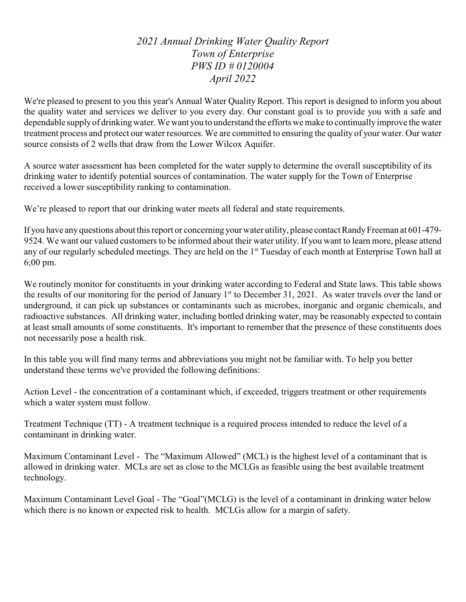*2021 Annual Drinking Water Quality Report Town of Enterprise PWS ID # 0120004 April 2022*

We're pleased to present to you this year's Annual Water Quality Report. This report is designed to inform you about the quality water and services we deliver to you every day. Our constant goal is to provide you with a safe and dependable supply of drinking water. We want you to understand the efforts we make to continually improve the water treatment process and protect our water resources. We are committed to ensuring the quality of your water. Our water source consists of 2 wells that draw from the Lower Wilcox Aquifer.

A source water assessment has been completed for the water supply to determine the overall susceptibility of its drinking water to identify potential sources of contamination. The water supply for the Town of Enterprise received a lower susceptibility ranking to contamination.

We're pleased to report that our drinking water meets all federal and state requirements.

If you have any questions about this report or concerning your water utility, please contact Randy Freeman at 601-479-9524. We want our valued customers to be informed about their water utility. If you want to learn more, please attend any of our regularly scheduled meetings. They are held on the 1<sup>st</sup> Tuesday of each month at Enterprise Town hall at 6;00 pm.

We routinely monitor for constituents in your drinking water according to Federal and State laws. This table shows the results of our monitoring for the period of January 1<sup>st</sup> to December 31, 2021. As water travels over the land or underground, it can pick up substances or contaminants such as microbes, inorganic and organic chemicals, and radioactive substances. All drinking water, including bottled drinking water, may be reasonably expected to contain at least small amounts of some constituents. It's important to remember that the presence of these constituents does not necessarily pose a health risk.

In this table you will find many terms and abbreviations you might not be familiar with. To help you better understand these terms we've provided the following definitions:

Action Level - the concentration of a contaminant which, if exceeded, triggers treatment or other requirements which a water system must follow.

Treatment Technique (TT) - A treatment technique is a required process intended to reduce the level of a contaminant in drinking water.

Maximum Contaminant Level - The "Maximum Allowed" (MCL) is the highest level of a contaminant that is allowed in drinking water. MCLs are set as close to the MCLGs as feasible using the best available treatment technology.

Maximum Contaminant Level Goal - The "Goal"(MCLG) is the level of a contaminant in drinking water below which there is no known or expected risk to health. MCLGs allow for a margin of safety.